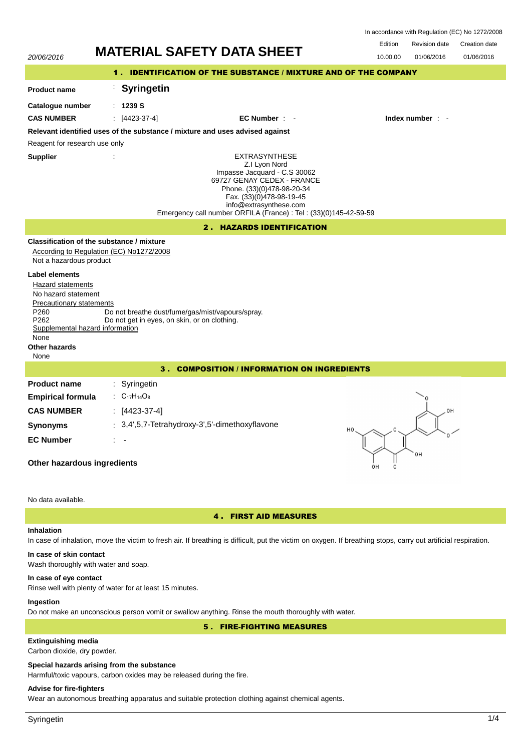|         |               | In accordance with Regulation (EC) No 1272/2008 |
|---------|---------------|-------------------------------------------------|
| Edition | Revision date | Creation date                                   |

|                                                                                                                                                                                                 | <b>MATERIAL SAFETY DATA SHEET</b>                                                                                                                                                                                                                            | Edition  | <b>Revision date</b>   | Creation date |  |  |
|-------------------------------------------------------------------------------------------------------------------------------------------------------------------------------------------------|--------------------------------------------------------------------------------------------------------------------------------------------------------------------------------------------------------------------------------------------------------------|----------|------------------------|---------------|--|--|
| 20/06/2016                                                                                                                                                                                      |                                                                                                                                                                                                                                                              | 10.00.00 | 01/06/2016             | 01/06/2016    |  |  |
|                                                                                                                                                                                                 | 1. IDENTIFICATION OF THE SUBSTANCE / MIXTURE AND OF THE COMPANY                                                                                                                                                                                              |          |                        |               |  |  |
| <b>Product name</b>                                                                                                                                                                             | <b>Syringetin</b>                                                                                                                                                                                                                                            |          |                        |               |  |  |
| Catalogue number                                                                                                                                                                                | : 1239S                                                                                                                                                                                                                                                      |          |                        |               |  |  |
| <b>CAS NUMBER</b>                                                                                                                                                                               | $[4423-37-4]$<br>EC Number : -                                                                                                                                                                                                                               |          | Index number $\cdot$ - |               |  |  |
|                                                                                                                                                                                                 | Relevant identified uses of the substance / mixture and uses advised against                                                                                                                                                                                 |          |                        |               |  |  |
| Reagent for research use only                                                                                                                                                                   |                                                                                                                                                                                                                                                              |          |                        |               |  |  |
| <b>Supplier</b>                                                                                                                                                                                 | <b>EXTRASYNTHESE</b><br>Z.I Lyon Nord<br>Impasse Jacquard - C.S 30062<br>69727 GENAY CEDEX - FRANCE<br>Phone. (33)(0)478-98-20-34<br>Fax. (33)(0)478-98-19-45<br>info@extrasynthese.com<br>Emergency call number ORFILA (France) : Tel : (33)(0)145-42-59-59 |          |                        |               |  |  |
|                                                                                                                                                                                                 | 2. HAZARDS IDENTIFICATION                                                                                                                                                                                                                                    |          |                        |               |  |  |
| Not a hazardous product                                                                                                                                                                         | Classification of the substance / mixture<br>According to Regulation (EC) No1272/2008                                                                                                                                                                        |          |                        |               |  |  |
| <b>Label elements</b><br><b>Hazard statements</b><br>No hazard statement<br><b>Precautionary statements</b><br>P260<br>P262<br>Supplemental hazard information<br>None<br>Other hazards<br>None | Do not breathe dust/fume/gas/mist/vapours/spray.<br>Do not get in eyes, on skin, or on clothing.                                                                                                                                                             |          |                        |               |  |  |
| 3. COMPOSITION / INFORMATION ON INGREDIENTS                                                                                                                                                     |                                                                                                                                                                                                                                                              |          |                        |               |  |  |
| <b>Product name</b><br><b>Empirical formula</b>                                                                                                                                                 | Syringetin<br>: $C_{17}H_{14}O_8$                                                                                                                                                                                                                            |          |                        |               |  |  |
| <b>CAS NUMBER</b>                                                                                                                                                                               | $[4423-37-4]$<br>: 3,4',5,7-Tetrahydroxy-3',5'-dimethoxyflavone                                                                                                                                                                                              |          | OH                     |               |  |  |
| <b>Synonyms</b>                                                                                                                                                                                 | HO.                                                                                                                                                                                                                                                          |          |                        |               |  |  |
| <b>EC Number</b>                                                                                                                                                                                |                                                                                                                                                                                                                                                              |          |                        |               |  |  |
| он<br>Other hazardous ingredients<br>он                                                                                                                                                         |                                                                                                                                                                                                                                                              |          |                        |               |  |  |
| No data available.                                                                                                                                                                              |                                                                                                                                                                                                                                                              |          |                        |               |  |  |
| <b>4. FIRST AID MEASURES</b>                                                                                                                                                                    |                                                                                                                                                                                                                                                              |          |                        |               |  |  |
| <b>Inhalation</b>                                                                                                                                                                               | In case of inhalation, move the victim to fresh air. If breathing is difficult, put the victim on oxygen. If breathing stops, carry out artificial respiration.                                                                                              |          |                        |               |  |  |

**In case of skin contact**

# Wash thoroughly with water and soap.

# **In case of eye contact**

Rinse well with plenty of water for at least 15 minutes.

# **Ingestion**

Do not make an unconscious person vomit or swallow anything. Rinse the mouth thoroughly with water.

5 . FIRE-FIGHTING MEASURES

# **Extinguishing media**

Carbon dioxide, dry powder.

# **Special hazards arising from the substance**

Harmful/toxic vapours, carbon oxides may be released during the fire.

# **Advise for fire-fighters**

Wear an autonomous breathing apparatus and suitable protection clothing against chemical agents.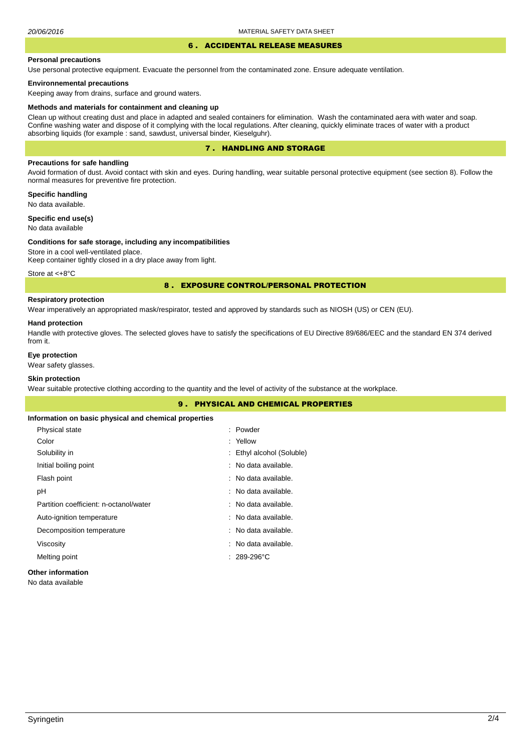#### 6 . ACCIDENTAL RELEASE MEASURES

#### **Personal precautions**

Use personal protective equipment. Evacuate the personnel from the contaminated zone. Ensure adequate ventilation.

#### **Environnemental precautions**

Keeping away from drains, surface and ground waters.

#### **Methods and materials for containment and cleaning up**

Clean up without creating dust and place in adapted and sealed containers for elimination. Wash the contaminated aera with water and soap. Confine washing water and dispose of it complying with the local regulations. After cleaning, quickly eliminate traces of water with a product absorbing liquids (for example : sand, sawdust, universal binder, Kieselguhr).

# 7 . HANDLING AND STORAGE

# **Precautions for safe handling**

Avoid formation of dust. Avoid contact with skin and eyes. During handling, wear suitable personal protective equipment (see section 8). Follow the normal measures for preventive fire protection.

**Specific handling** No data available.

**Specific end use(s)**

# No data available

#### **Conditions for safe storage, including any incompatibilities**

Store in a cool well-ventilated place. Keep container tightly closed in a dry place away from light.

Store at <+8°C

## 8 . EXPOSURE CONTROL/PERSONAL PROTECTION

# **Respiratory protection**

Wear imperatively an appropriated mask/respirator, tested and approved by standards such as NIOSH (US) or CEN (EU).

#### **Hand protection**

Handle with protective gloves. The selected gloves have to satisfy the specifications of EU Directive 89/686/EEC and the standard EN 374 derived from it.

# **Eye protection**

Wear safety glasses.

# **Skin protection**

Wear suitable protective clothing according to the quantity and the level of activity of the substance at the workplace.

|                                                       | <b>9. PHYSICAL AND CHEMICAL PROPERTIES</b> |  |
|-------------------------------------------------------|--------------------------------------------|--|
| Information on basic physical and chemical properties |                                            |  |
| Physical state                                        | : Powder                                   |  |
| Color                                                 | : Yellow                                   |  |
| Solubility in                                         | : Ethyl alcohol (Soluble)                  |  |
| Initial boiling point                                 | : No data available.                       |  |
| Flash point                                           | : No data available.                       |  |
| рH                                                    | : No data available.                       |  |
| Partition coefficient: n-octanol/water                | : No data available.                       |  |
| Auto-ignition temperature                             | : No data available.                       |  |
| Decomposition temperature                             | : No data available.                       |  |
| Viscosity                                             | : No data available.                       |  |
| Melting point                                         | $: 289-296$ °C                             |  |
| Other information                                     |                                            |  |

No data available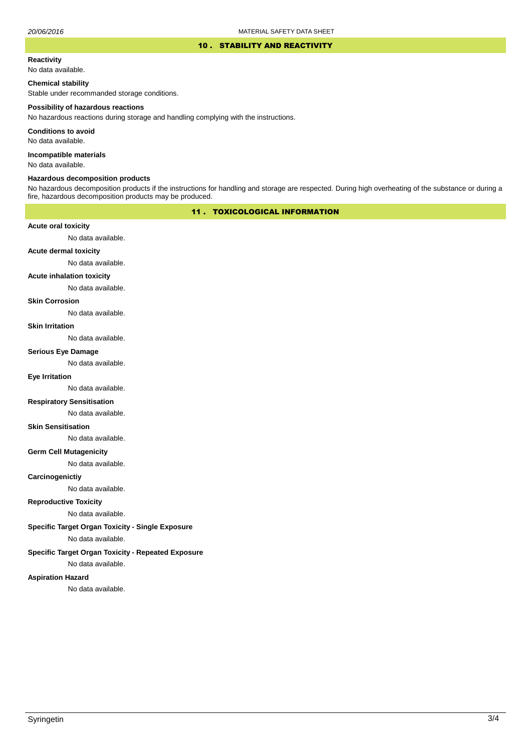#### 10 . STABILITY AND REACTIVITY

#### **Reactivity**

No data available.

## **Chemical stability**

Stable under recommanded storage conditions.

#### **Possibility of hazardous reactions**

No hazardous reactions during storage and handling complying with the instructions.

**Conditions to avoid**

No data available.

**Incompatible materials**

No data available.

#### **Hazardous decomposition products**

No hazardous decomposition products if the instructions for handling and storage are respected. During high overheating of the substance or during a fire, hazardous decomposition products may be produced.

# 11 . TOXICOLOGICAL INFORMATION

## **Acute oral toxicity**

No data available.

# **Acute dermal toxicity**

No data available.

## **Acute inhalation toxicity**

No data available.

# **Skin Corrosion**

No data available.

#### **Skin Irritation**

No data available.

# **Serious Eye Damage**

No data available.

# **Eye Irritation**

No data available.

# **Respiratory Sensitisation**

No data available.

#### **Skin Sensitisation**

No data available.

## **Germ Cell Mutagenicity**

No data available.

## **Carcinogenictiy**

No data available.

# **Reproductive Toxicity**

No data available.

# **Specific Target Organ Toxicity - Single Exposure**

No data available.

# **Specific Target Organ Toxicity - Repeated Exposure**

No data available.

#### **Aspiration Hazard**

No data available.